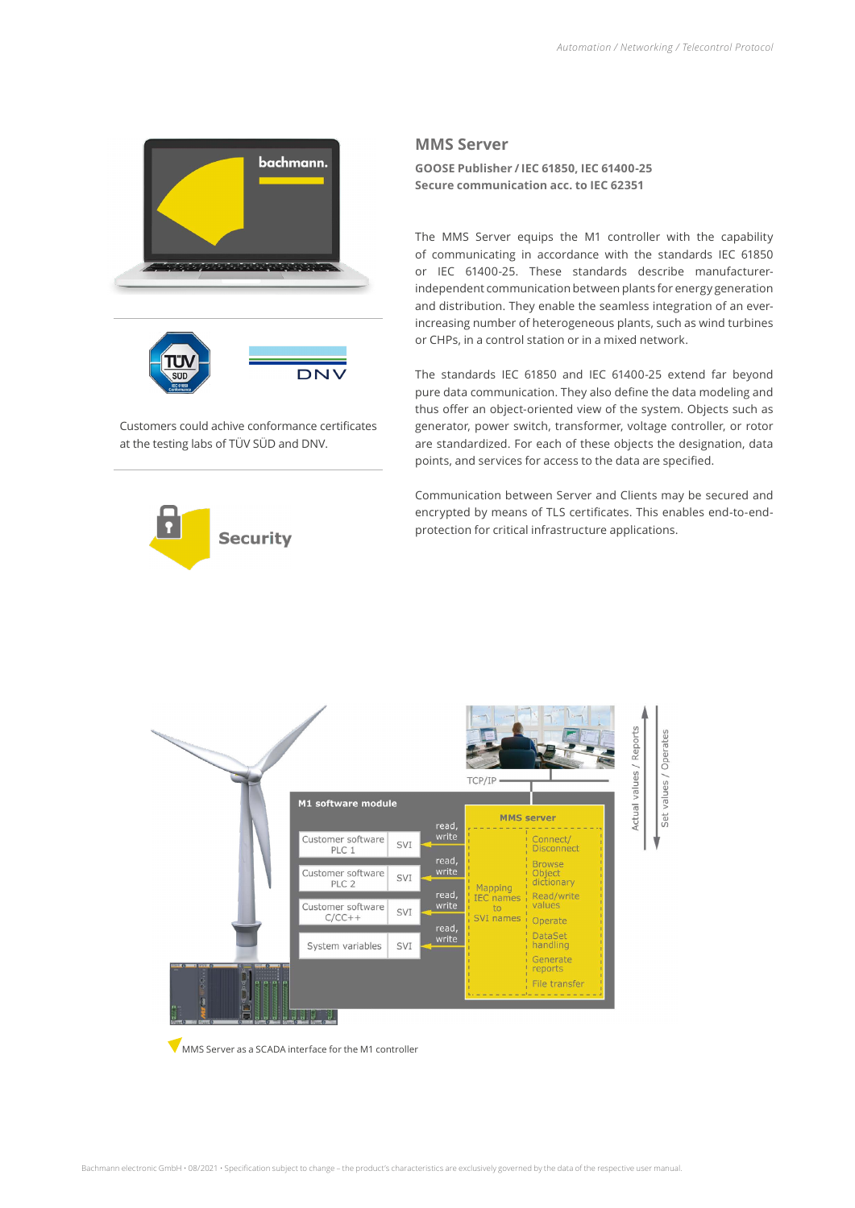

Customers could achive conformance certificates at the testing labs of TÜV SÜD and DNV.



## **MMS Server**

**GOOSE Publisher / IEC 61850, IEC 61400-25 Secure communication acc. to IEC 62351**

The MMS Server equips the M1 controller with the capability of communicating in accordance with the standards IEC 61850 or IEC 61400-25. These standards describe manufacturerindependent communication between plants for energy generation and distribution. They enable the seamless integration of an everincreasing number of heterogeneous plants, such as wind turbines or CHPs, in a control station or in a mixed network.

The standards IEC 61850 and IEC 61400-25 extend far beyond pure data communication. They also define the data modeling and thus offer an object-oriented view of the system. Objects such as generator, power switch, transformer, voltage controller, or rotor are standardized. For each of these objects the designation, data points, and services for access to the data are specified.

Communication between Server and Clients may be secured and encrypted by means of TLS certificates. This enables end-to-endprotection for critical infrastructure applications.



**WAMS Server as a SCADA interface for the M1 controller**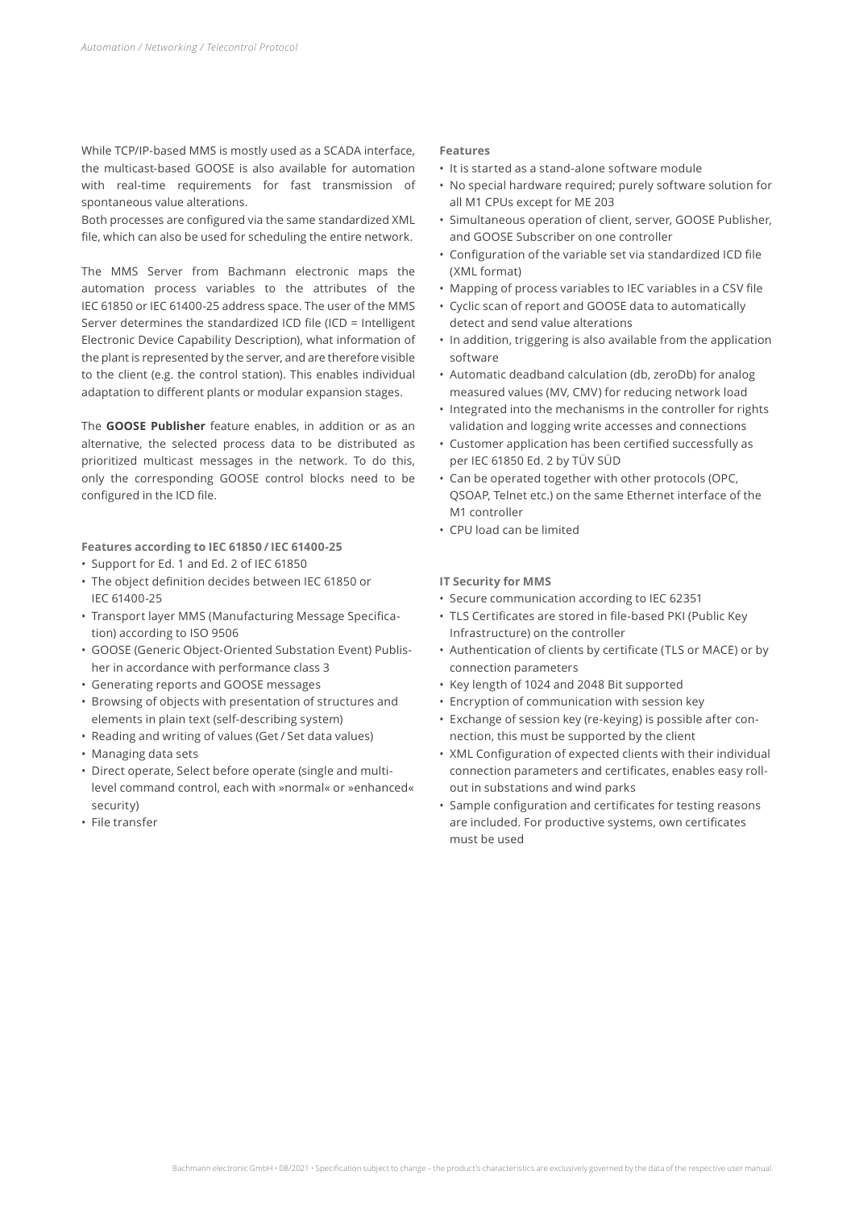While TCP/IP-based MMS is mostly used as a SCADA interface, the multicast-based GOOSE is also available for automation with real-time requirements for fast transmission of spontaneous value alterations.

Both processes are configured via the same standardized XML file, which can also be used for scheduling the entire network.

The MMS Server from Bachmann electronic maps the automation process variables to the attributes of the IEC 61850 or IEC 61400-25 address space. The user of the MMS Server determines the standardized ICD file (ICD = Intelligent Electronic Device Capability Description), what information of the plant is represented by the server, and are therefore visible to the client (e.g. the control station). This enables individual adaptation to different plants or modular expansion stages.

The **GOOSE Publisher** feature enables, in addition or as an alternative, the selected process data to be distributed as prioritized multicast messages in the network. To do this, only the corresponding GOOSE control blocks need to be configured in the ICD file.

## **Features according to IEC 61850 / IEC 61400-25**

- Support for Ed. 1 and Ed. 2 of IEC 61850
- The object definition decides between IEC 61850 or IEC 61400-25
- Transport layer MMS (Manufacturing Message Specification) according to ISO 9506
- GOOSE (Generic Object-Oriented Substation Event) Publisher in accordance with performance class 3
- Generating reports and GOOSE messages
- Browsing of objects with presentation of structures and elements in plain text (self-describing system)
- Reading and writing of values (Get / Set data values)
- Managing data sets
- Direct operate, Select before operate (single and multilevel command control, each with »normal« or »enhanced« security)
- File transfer

## **Features**

- It is started as a stand-alone software module
- No special hardware required; purely software solution for all M1 CPUs except for ME 203
- Simultaneous operation of client, server, GOOSE Publisher, and GOOSE Subscriber on one controller
- Configuration of the variable set via standardized ICD file (XML format)
- Mapping of process variables to IEC variables in a CSV file
- Cyclic scan of report and GOOSE data to automatically detect and send value alterations
- In addition, triggering is also available from the application software
- Automatic deadband calculation (db, zeroDb) for analog measured values (MV, CMV) for reducing network load
- Integrated into the mechanisms in the controller for rights validation and logging write accesses and connections
- Customer application has been certified successfully as per IEC 61850 Ed. 2 by TÜV SÜD
- Can be operated together with other protocols (OPC, QSOAP, Telnet etc.) on the same Ethernet interface of the M1 controller
- CPU load can be limited

## **IT Security for MMS**

- Secure communication according to IEC 62351
- TLS Certificates are stored in file-based PKI (Public Key Infrastructure) on the controller
- Authentication of clients by certificate (TLS or MACE) or by connection parameters
- Key length of 1024 and 2048 Bit supported
- Encryption of communication with session key
- Exchange of session key (re-keying) is possible after connection, this must be supported by the client
- XML Configuration of expected clients with their individual connection parameters and certificates, enables easy rollout in substations and wind parks
- Sample configuration and certificates for testing reasons are included. For productive systems, own certificates must be used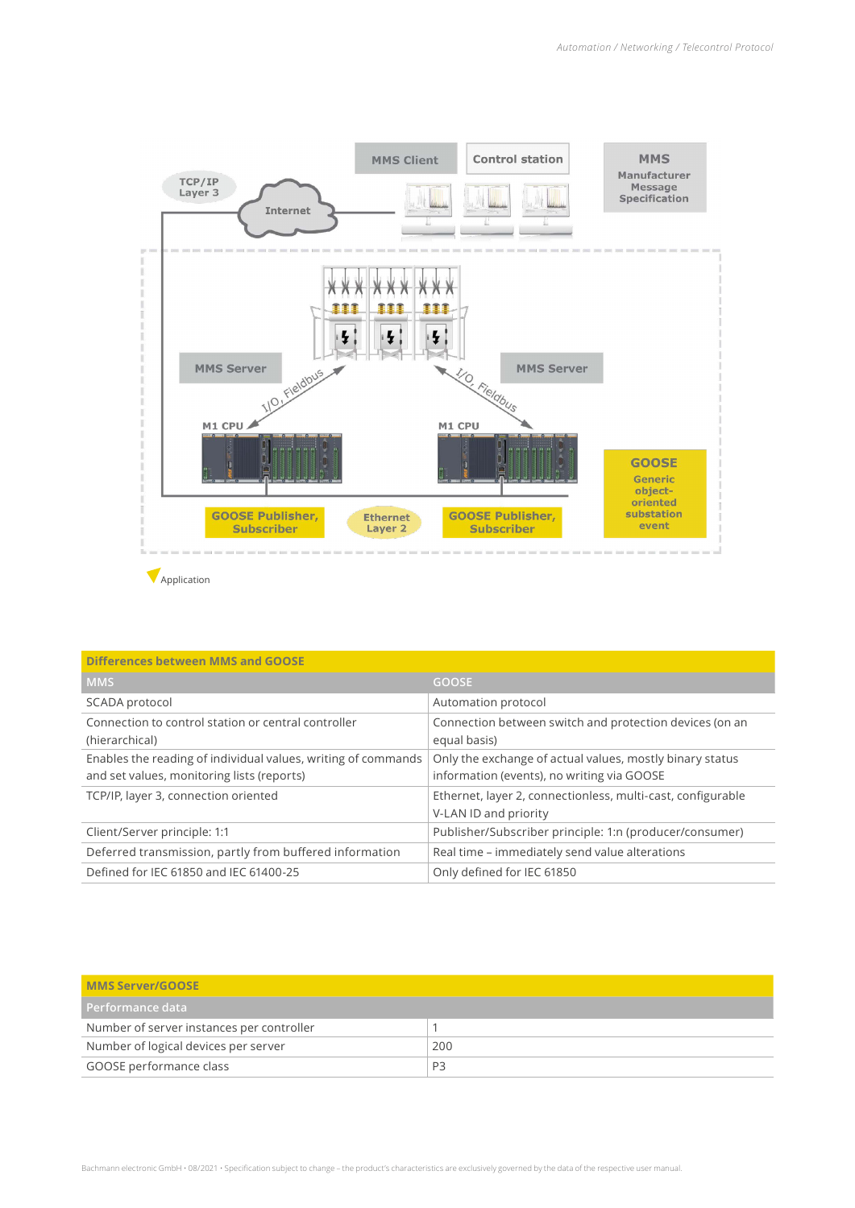

**Application** 

| <b>Differences between MMS and GOOSE</b>                                                                    |                                                                                                        |
|-------------------------------------------------------------------------------------------------------------|--------------------------------------------------------------------------------------------------------|
| <b>MMS</b>                                                                                                  | <b>GOOSE</b>                                                                                           |
| SCADA protocol                                                                                              | Automation protocol                                                                                    |
| Connection to control station or central controller<br>(hierarchical)                                       | Connection between switch and protection devices (on an<br>equal basis)                                |
| Enables the reading of individual values, writing of commands<br>and set values, monitoring lists (reports) | Only the exchange of actual values, mostly binary status<br>information (events), no writing via GOOSE |
| TCP/IP, layer 3, connection oriented                                                                        | Ethernet, layer 2, connectionless, multi-cast, configurable<br>V-LAN ID and priority                   |
| Client/Server principle: 1:1                                                                                | Publisher/Subscriber principle: 1:n (producer/consumer)                                                |
| Deferred transmission, partly from buffered information                                                     | Real time – immediately send value alterations                                                         |
| Defined for IEC 61850 and IEC 61400-25                                                                      | Only defined for IEC 61850                                                                             |

| MMS Server/GOOSE                          |                |  |  |  |
|-------------------------------------------|----------------|--|--|--|
| Performance data                          |                |  |  |  |
| Number of server instances per controller |                |  |  |  |
| Number of logical devices per server      | 200            |  |  |  |
| GOOSE performance class                   | P <sub>3</sub> |  |  |  |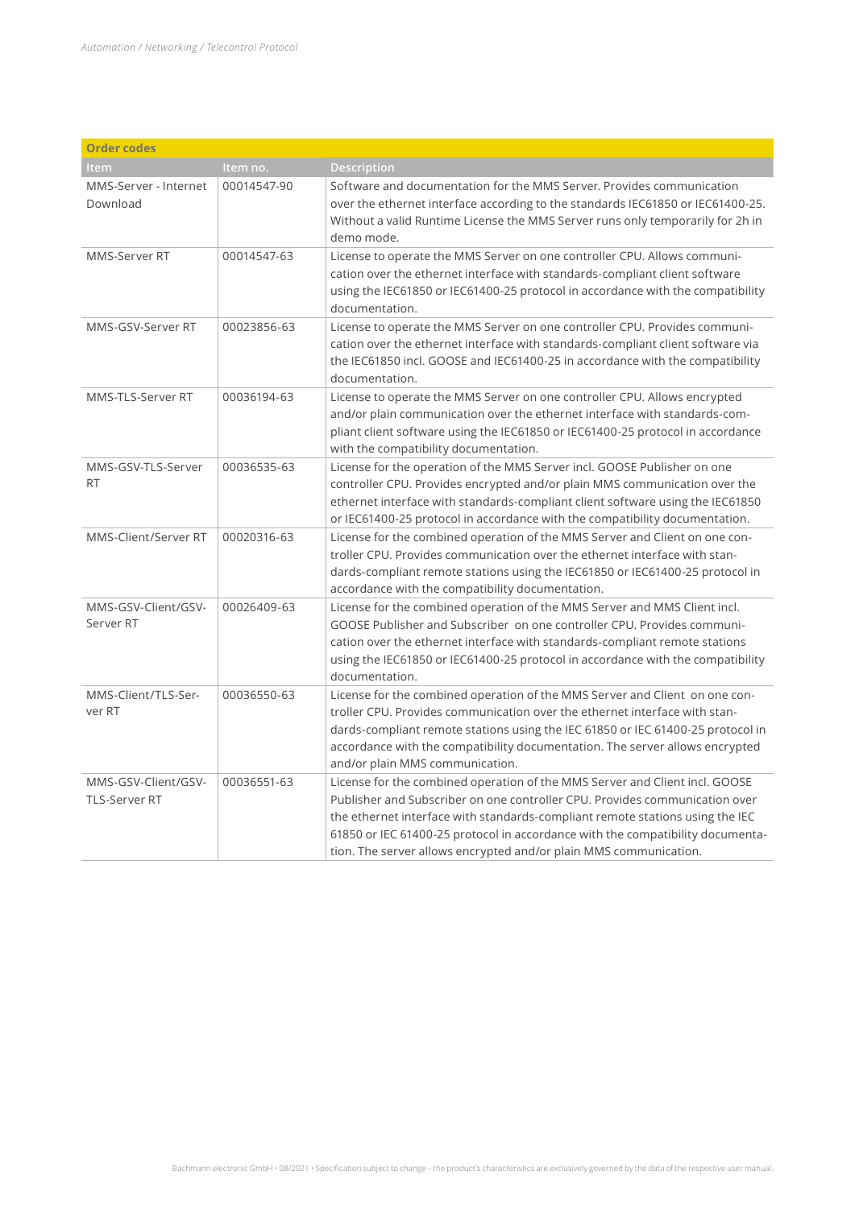| <b>Order codes</b>                          |             |                                                                                                                                                                                                                                                                                                                                                                                                    |  |  |  |  |
|---------------------------------------------|-------------|----------------------------------------------------------------------------------------------------------------------------------------------------------------------------------------------------------------------------------------------------------------------------------------------------------------------------------------------------------------------------------------------------|--|--|--|--|
| Item                                        | Item no.    | Description                                                                                                                                                                                                                                                                                                                                                                                        |  |  |  |  |
| MMS-Server - Internet<br>Download           | 00014547-90 | Software and documentation for the MMS Server, Provides communication<br>over the ethernet interface according to the standards IEC61850 or IEC61400-25.<br>Without a valid Runtime License the MMS Server runs only temporarily for 2h in<br>demo mode.                                                                                                                                           |  |  |  |  |
| MMS-Server RT                               | 00014547-63 | License to operate the MMS Server on one controller CPU. Allows communi-<br>cation over the ethernet interface with standards-compliant client software<br>using the IEC61850 or IEC61400-25 protocol in accordance with the compatibility<br>documentation.                                                                                                                                       |  |  |  |  |
| MMS-GSV-Server RT                           | 00023856-63 | License to operate the MMS Server on one controller CPU. Provides communi-<br>cation over the ethernet interface with standards-compliant client software via<br>the IEC61850 incl. GOOSE and IEC61400-25 in accordance with the compatibility<br>documentation.                                                                                                                                   |  |  |  |  |
| MMS-TLS-Server RT                           | 00036194-63 | License to operate the MMS Server on one controller CPU. Allows encrypted<br>and/or plain communication over the ethernet interface with standards-com-<br>pliant client software using the IEC61850 or IEC61400-25 protocol in accordance<br>with the compatibility documentation.                                                                                                                |  |  |  |  |
| MMS-GSV-TLS-Server<br><b>RT</b>             | 00036535-63 | License for the operation of the MMS Server incl. GOOSE Publisher on one<br>controller CPU. Provides encrypted and/or plain MMS communication over the<br>ethernet interface with standards-compliant client software using the IEC61850<br>or IEC61400-25 protocol in accordance with the compatibility documentation.                                                                            |  |  |  |  |
| MMS-Client/Server RT                        | 00020316-63 | License for the combined operation of the MMS Server and Client on one con-<br>troller CPU. Provides communication over the ethernet interface with stan-<br>dards-compliant remote stations using the IEC61850 or IEC61400-25 protocol in<br>accordance with the compatibility documentation.                                                                                                     |  |  |  |  |
| MMS-GSV-Client/GSV-<br>Server RT            | 00026409-63 | License for the combined operation of the MMS Server and MMS Client incl.<br>GOOSE Publisher and Subscriber on one controller CPU. Provides communi-<br>cation over the ethernet interface with standards-compliant remote stations<br>using the IEC61850 or IEC61400-25 protocol in accordance with the compatibility<br>documentation.                                                           |  |  |  |  |
| MMS-Client/TLS-Ser-<br>ver RT               | 00036550-63 | License for the combined operation of the MMS Server and Client on one con-<br>troller CPU. Provides communication over the ethernet interface with stan-<br>dards-compliant remote stations using the IEC 61850 or IEC 61400-25 protocol in<br>accordance with the compatibility documentation. The server allows encrypted<br>and/or plain MMS communication.                                    |  |  |  |  |
| MMS-GSV-Client/GSV-<br><b>TLS-Server RT</b> | 00036551-63 | License for the combined operation of the MMS Server and Client incl. GOOSE<br>Publisher and Subscriber on one controller CPU. Provides communication over<br>the ethernet interface with standards-compliant remote stations using the IEC<br>61850 or IEC 61400-25 protocol in accordance with the compatibility documenta-<br>tion. The server allows encrypted and/or plain MMS communication. |  |  |  |  |